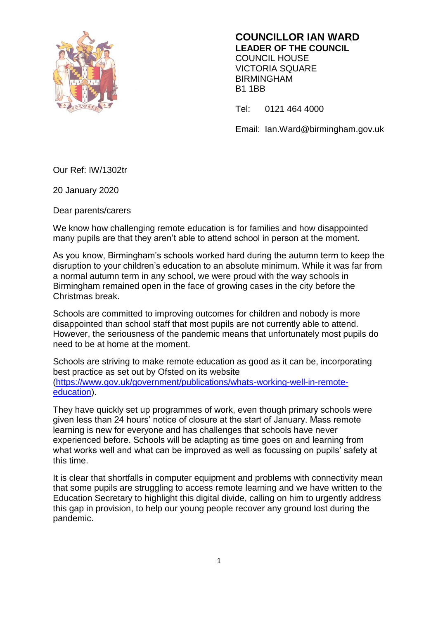

**COUNCILLOR IAN WARD LEADER OF THE COUNCIL** COUNCIL HOUSE VICTORIA SQUARE BIRMINGHAM B1 1BB

Tel: 0121 464 4000

Email: Ian.Ward@birmingham.gov.uk

Our Ref: IW/1302tr

20 January 2020

Dear parents/carers

We know how challenging remote education is for families and how disappointed many pupils are that they aren't able to attend school in person at the moment.

As you know, Birmingham's schools worked hard during the autumn term to keep the disruption to your children's education to an absolute minimum. While it was far from a normal autumn term in any school, we were proud with the way schools in Birmingham remained open in the face of growing cases in the city before the Christmas break.

Schools are committed to improving outcomes for children and nobody is more disappointed than school staff that most pupils are not currently able to attend. However, the seriousness of the pandemic means that unfortunately most pupils do need to be at home at the moment.

Schools are striving to make remote education as good as it can be, incorporating best practice as set out by Ofsted on its website [\(https://www.gov.uk/government/publications/whats-working-well-in-remote](https://www.gov.uk/government/publications/whats-working-well-in-remote-education)[education\)](https://www.gov.uk/government/publications/whats-working-well-in-remote-education).

They have quickly set up programmes of work, even though primary schools were given less than 24 hours' notice of closure at the start of January. Mass remote learning is new for everyone and has challenges that schools have never experienced before. Schools will be adapting as time goes on and learning from what works well and what can be improved as well as focussing on pupils' safety at this time.

It is clear that shortfalls in computer equipment and problems with connectivity mean that some pupils are struggling to access remote learning and we have written to the Education Secretary to highlight this digital divide, calling on him to urgently address this gap in provision, to help our young people recover any ground lost during the pandemic.